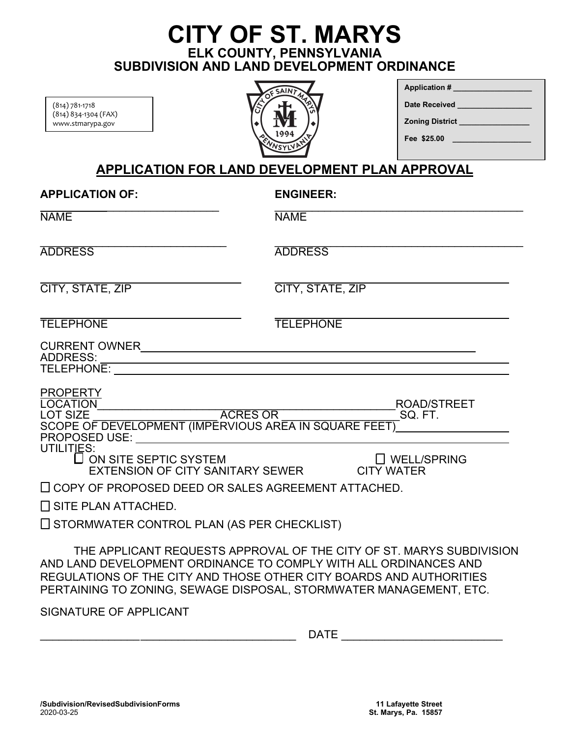## **CITY OF ST. MARYS ELK COUNTY, PENNSYLVANIA SUBDIVISION AND LAND DEVELOPMENT ORDINANCE**

(814) 781-1718 (814) 834-1304 (FAX) www.stmarypa.gov



| Application #                       |
|-------------------------------------|
| Date Received ______                |
| <b>Zoning District Example 2014</b> |
| Fee \$25.00                         |
|                                     |

### **APPLICATION FOR LAND DEVELOPMENT PLAN APPROVAL**

| <b>APPLICATION OF:</b>                                                                                                                                                                                                                         | <b>ENGINEER:</b>                                                     |
|------------------------------------------------------------------------------------------------------------------------------------------------------------------------------------------------------------------------------------------------|----------------------------------------------------------------------|
| <b>NAME</b>                                                                                                                                                                                                                                    | <b>NAME</b>                                                          |
| <b>ADDRESS</b>                                                                                                                                                                                                                                 | <b>ADDRESS</b>                                                       |
| CITY, STATE, ZIP                                                                                                                                                                                                                               | CITY, STATE, ZIP                                                     |
| <b>TELEPHONE</b>                                                                                                                                                                                                                               | <b>TELEPHONE</b>                                                     |
| <b>ADDRESS:</b><br><u> 1980 - Johann Stoff, deutscher Stoff, der Stoff, der Stoff, der Stoff, der Stoff, der Stoff, der Stoff, der S</u><br>TELEPHONE:                                                                                         |                                                                      |
| <b>PROPERTY</b><br><b>LOCATION</b><br>$\frac{\text{ACRES OR}}{\text{F} \cdot \text{H} \cdot \text{F} \cdot \text{F} \cdot \text{A} \cdot \text{C} \cdot \text{R}}$<br><b>LOT SIZE</b><br>SCOPE OF DEVELOPMENT (IMPERVIOUS AREA IN SQUARE FEET) | <b>ROAD/STREET</b><br>SQ. FT.                                        |
| UTILITIES:<br>$\Box$ ON SITE SEPTIC SYSTEM<br>EXTENSION OF CITY SANITARY SEWER                                                                                                                                                                 | $\Box$ WELL/SPRING<br><b>CITY WATER</b>                              |
| $\Box$ COPY OF PROPOSED DEED OR SALES AGREEMENT ATTACHED.                                                                                                                                                                                      |                                                                      |
| $\Box$ SITE PLAN ATTACHED.                                                                                                                                                                                                                     |                                                                      |
| $\Box$ STORMWATER CONTROL PLAN (AS PER CHECKLIST)                                                                                                                                                                                              |                                                                      |
| AND LAND DEVELOPMENT ORDINANCE TO COMPLY WITH ALL ORDINANCES AND<br>REGULATIONS OF THE CITY AND THOSE OTHER CITY BOARDS AND AUTHORITIES<br>PERTAINING TO ZONING, SEWAGE DISPOSAL, STORMWATER MANAGEMENT, ETC.                                  | THE APPLICANT REQUESTS APPROVAL OF THE CITY OF ST. MARYS SUBDIVISION |

SIGNATURE OF APPLICANT

| $-$<br>٦Δ<br>-<br>. . <u>.</u><br>$ -$ |
|----------------------------------------|
|                                        |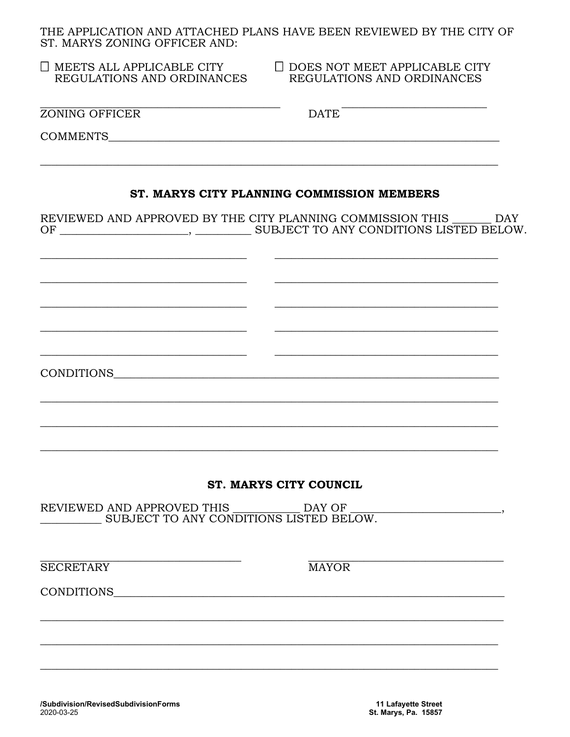THE APPLICATION AND ATTACHED PLANS HAVE BEEN REVIEWED BY THE CITY OF ST. MARYS ZONING OFFICER AND:

|  | $\Box$ MEETS ALL APPLICABLE CITY |
|--|----------------------------------|
|  | REGULATIONS AND ORDINANCES       |

 $\Box$  DOES NOT MEET APPLICABLE CITY REGULATIONS AND ORDINANCES

**ZONING OFFICER** 

**DATE** 

COMMENTS THE COMMENTS

#### ST. MARYS CITY PLANNING COMMISSION MEMBERS

REVIEWED AND APPROVED BY THE CITY PLANNING COMMISSION THIS DAY 

CONDITIONS

#### **ST. MARYS CITY COUNCIL**

REVIEWED AND APPROVED THIS DAY OF SUBJECT TO ANY CONDITIONS LISTED BELOW.

**SECRETARY** 

**MAYOR** 

CONDITIONS

 $\overline{\phantom{a}}$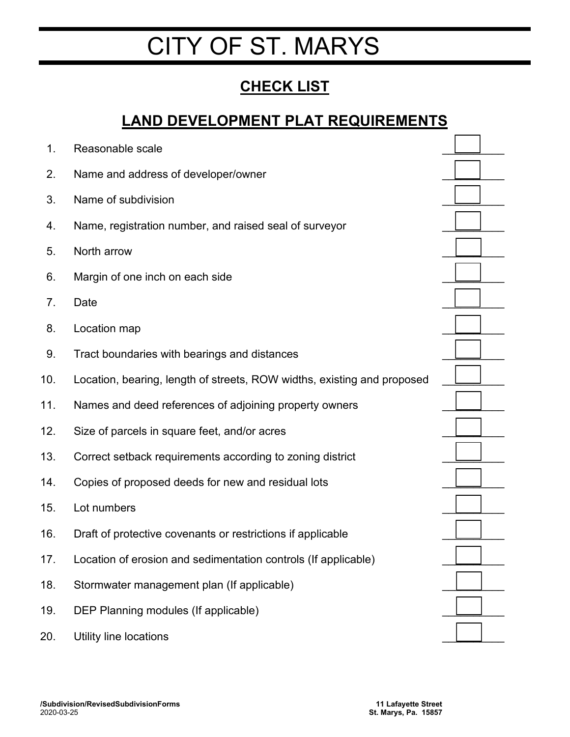# CITY OF ST. MARYS

# **CHECK LIST**

## **LAND DEVELOPMENT PLAT REQUIREMENTS**

| Reasonable scale                                                        |  |
|-------------------------------------------------------------------------|--|
| Name and address of developer/owner                                     |  |
| Name of subdivision                                                     |  |
| Name, registration number, and raised seal of surveyor                  |  |
| North arrow                                                             |  |
| Margin of one inch on each side                                         |  |
| Date                                                                    |  |
| Location map                                                            |  |
| Tract boundaries with bearings and distances                            |  |
| Location, bearing, length of streets, ROW widths, existing and proposed |  |
| Names and deed references of adjoining property owners                  |  |
| Size of parcels in square feet, and/or acres                            |  |
| Correct setback requirements according to zoning district               |  |
| Copies of proposed deeds for new and residual lots                      |  |
| Lot numbers                                                             |  |
| Draft of protective covenants or restrictions if applicable             |  |
| Location of erosion and sedimentation controls (If applicable)          |  |
| Stormwater management plan (If applicable)                              |  |
| DEP Planning modules (If applicable)                                    |  |
| Utility line locations                                                  |  |
|                                                                         |  |